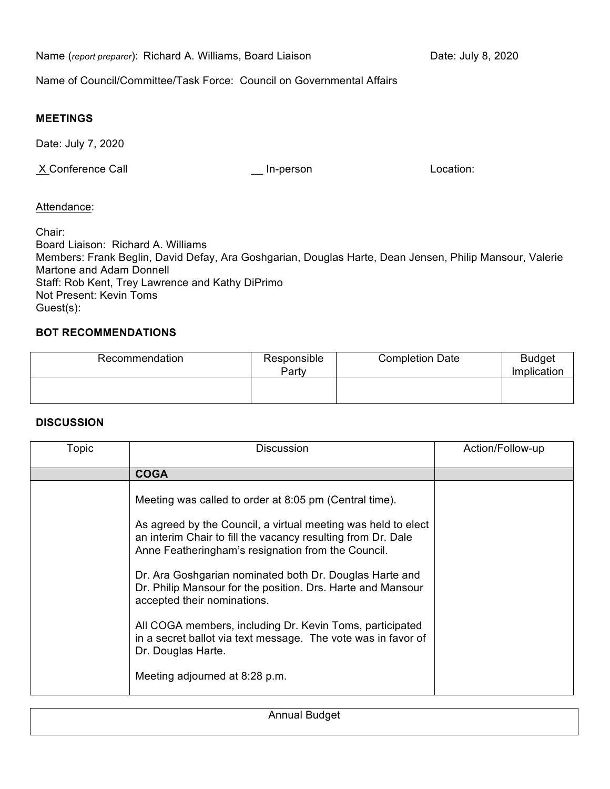Name (*report preparer*): Richard A. Williams, Board Liaison Date: July 8, 2020

Name of Council/Committee/Task Force: Council on Governmental Affairs

## **MEETINGS**

Date: July 7, 2020

X Conference Call **X** Conference Call **CONFERGALL** In-person Location:

## Attendance:

Chair: Board Liaison: Richard A. Williams Members: Frank Beglin, David Defay, Ara Goshgarian, Douglas Harte, Dean Jensen, Philip Mansour, Valerie Martone and Adam Donnell Staff: Rob Kent, Trey Lawrence and Kathy DiPrimo Not Present: Kevin Toms Guest(s):

# **BOT RECOMMENDATIONS**

| Recommendation | Responsible<br>Party | <b>Completion Date</b> | <b>Budget</b><br>Implication |
|----------------|----------------------|------------------------|------------------------------|
|                |                      |                        |                              |

## **DISCUSSION**

| Topic | <b>Discussion</b>                                                                                                                                                                                                                                                                                                                                                                                                                                                                                                                                                                           | Action/Follow-up |
|-------|---------------------------------------------------------------------------------------------------------------------------------------------------------------------------------------------------------------------------------------------------------------------------------------------------------------------------------------------------------------------------------------------------------------------------------------------------------------------------------------------------------------------------------------------------------------------------------------------|------------------|
|       | <b>COGA</b>                                                                                                                                                                                                                                                                                                                                                                                                                                                                                                                                                                                 |                  |
|       | Meeting was called to order at 8:05 pm (Central time).<br>As agreed by the Council, a virtual meeting was held to elect<br>an interim Chair to fill the vacancy resulting from Dr. Dale<br>Anne Featheringham's resignation from the Council.<br>Dr. Ara Goshgarian nominated both Dr. Douglas Harte and<br>Dr. Philip Mansour for the position. Drs. Harte and Mansour<br>accepted their nominations.<br>All COGA members, including Dr. Kevin Toms, participated<br>in a secret ballot via text message. The vote was in favor of<br>Dr. Douglas Harte.<br>Meeting adjourned at 8:28 p.m. |                  |